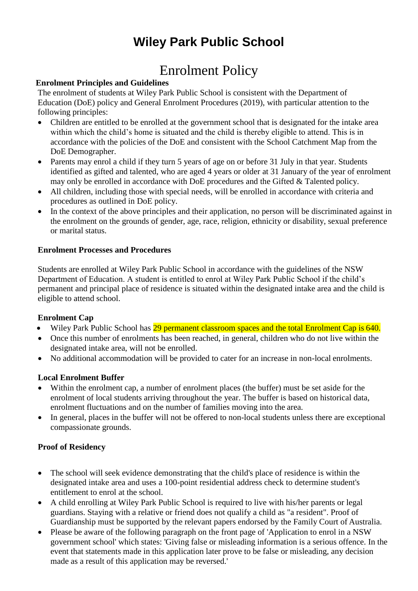# **Wiley Park Public School**

# Enrolment Policy

# **Enrolment Principles and Guidelines**

The enrolment of students at Wiley Park Public School is consistent with the Department of Education (DoE) policy and General Enrolment Procedures (2019), with particular attention to the following principles:

- Children are entitled to be enrolled at the government school that is designated for the intake area within which the child's home is situated and the child is thereby eligible to attend. This is in accordance with the policies of the DoE and consistent with the School Catchment Map from the DoE Demographer.
- Parents may enrol a child if they turn 5 years of age on or before 31 July in that year. Students identified as gifted and talented, who are aged 4 years or older at 31 January of the year of enrolment may only be enrolled in accordance with DoE procedures and the Gifted & Talented policy.
- All children, including those with special needs, will be enrolled in accordance with criteria and procedures as outlined in DoE policy.
- In the context of the above principles and their application, no person will be discriminated against in the enrolment on the grounds of gender, age, race, religion, ethnicity or disability, sexual preference or marital status.

### **Enrolment Processes and Procedures**

Students are enrolled at Wiley Park Public School in accordance with the guidelines of the NSW Department of Education. A student is entitled to enrol at Wiley Park Public School if the child's permanent and principal place of residence is situated within the designated intake area and the child is eligible to attend school.

# **Enrolment Cap**

- Wiley Park Public School has 29 permanent classroom spaces and the total Enrolment Cap is 640.
- Once this number of enrolments has been reached, in general, children who do not live within the designated intake area, will not be enrolled.
- No additional accommodation will be provided to cater for an increase in non-local enrolments.

# **Local Enrolment Buffer**

- Within the enrolment cap, a number of enrolment places (the buffer) must be set aside for the enrolment of local students arriving throughout the year. The buffer is based on historical data, enrolment fluctuations and on the number of families moving into the area.
- In general, places in the buffer will not be offered to non-local students unless there are exceptional compassionate grounds.

#### **Proof of Residency**

- The school will seek evidence demonstrating that the child's place of residence is within the designated intake area and uses a 100-point residential address check to determine student's entitlement to enrol at the school.
- A child enrolling at Wiley Park Public School is required to live with his/her parents or legal guardians. Staying with a relative or friend does not qualify a child as "a resident". Proof of Guardianship must be supported by the relevant papers endorsed by the Family Court of Australia.
- Please be aware of the following paragraph on the front page of 'Application to enrol in a NSW government school' which states: 'Giving false or misleading information is a serious offence. In the event that statements made in this application later prove to be false or misleading, any decision made as a result of this application may be reversed.'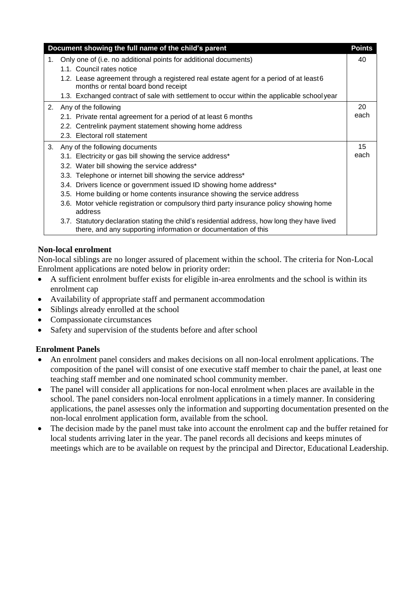| Document showing the full name of the child's parent |                                                                                                                                                                | <b>Points</b> |
|------------------------------------------------------|----------------------------------------------------------------------------------------------------------------------------------------------------------------|---------------|
| 1.                                                   | Only one of (i.e. no additional points for additional documents)<br>1.1. Council rates notice                                                                  | 40            |
|                                                      | 1.2. Lease agreement through a registered real estate agent for a period of at least 6<br>months or rental board bond receipt                                  |               |
|                                                      | 1.3. Exchanged contract of sale with settlement to occur within the applicable schoolyear                                                                      |               |
|                                                      | 2. Any of the following                                                                                                                                        | 20            |
|                                                      | 2.1. Private rental agreement for a period of at least 6 months                                                                                                | each          |
|                                                      | 2.2. Centrelink payment statement showing home address                                                                                                         |               |
|                                                      | 2.3. Electoral roll statement                                                                                                                                  |               |
| 3.                                                   | Any of the following documents                                                                                                                                 | 15            |
|                                                      | 3.1. Electricity or gas bill showing the service address*                                                                                                      | each          |
|                                                      | 3.2. Water bill showing the service address*                                                                                                                   |               |
|                                                      | 3.3. Telephone or internet bill showing the service address*                                                                                                   |               |
|                                                      | 3.4. Drivers licence or government issued ID showing home address*                                                                                             |               |
|                                                      | 3.5. Home building or home contents insurance showing the service address                                                                                      |               |
|                                                      | 3.6. Motor vehicle registration or compulsory third party insurance policy showing home<br>address                                                             |               |
|                                                      | 3.7. Statutory declaration stating the child's residential address, how long they have lived<br>there, and any supporting information or documentation of this |               |

# **Non-local enrolment**

Non-local siblings are no longer assured of placement within the school. The criteria for Non-Local Enrolment applications are noted below in priority order:

- A sufficient enrolment buffer exists for eligible in-area enrolments and the school is within its enrolment cap
- Availability of appropriate staff and permanent accommodation
- Siblings already enrolled at the school
- Compassionate circumstances
- Safety and supervision of the students before and after school

# **Enrolment Panels**

- An enrolment panel considers and makes decisions on all non-local enrolment applications. The composition of the panel will consist of one executive staff member to chair the panel, at least one teaching staff member and one nominated school community member.
- The panel will consider all applications for non-local enrolment when places are available in the school. The panel considers non-local enrolment applications in a timely manner. In considering applications, the panel assesses only the information and supporting documentation presented on the non-local enrolment application form, available from the school.
- The decision made by the panel must take into account the enrolment cap and the buffer retained for local students arriving later in the year. The panel records all decisions and keeps minutes of meetings which are to be available on request by the principal and Director, Educational Leadership.